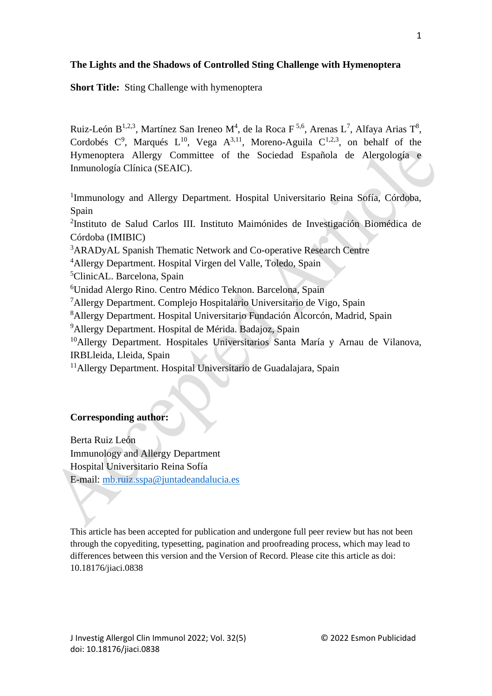# **The Lights and the Shadows of Controlled Sting Challenge with Hymenoptera**

**Short Title:** Sting Challenge with hymenoptera

Ruiz-León B<sup>1,2,3</sup>, Martínez San Ireneo M<sup>4</sup>, de la Roca F<sup>5,6</sup>, Arenas L<sup>7</sup>, Alfaya Arias T<sup>8</sup>, Cordobés  $C^9$ , Marqués  $L^{10}$ , Vega  $A^{3,11}$ , Moreno-Aguila  $C^{1,2,3}$ , on behalf of the Hymenoptera Allergy Committee of the Sociedad Española de Alergología e Inmunología Clínica (SEAIC).

<sup>1</sup>Immunology and Allergy Department. Hospital Universitario Reina Sofía, Córdoba, Spain

2 Instituto de Salud Carlos III. Instituto Maimónides de Investigación Biomédica de Córdoba (IMIBIC)

<sup>3</sup>ARADyAL Spanish Thematic Network and Co-operative Research Centre

<sup>4</sup>Allergy Department. Hospital Virgen del Valle, Toledo, Spain

<sup>5</sup>ClinicAL. Barcelona, Spain

<sup>6</sup>Unidad Alergo Rino. Centro Médico Teknon. Barcelona, Spain

<sup>7</sup>Allergy Department. Complejo Hospitalario Universitario de Vigo, Spain

<sup>8</sup>Allergy Department. Hospital Universitario Fundación Alcorcón, Madrid, Spain

<sup>9</sup>Allergy Department. Hospital de Mérida. Badajoz, Spain

<sup>10</sup>Allergy Department. Hospitales Universitarios Santa María y Arnau de Vilanova, IRBLleida, Lleida, Spain

<sup>11</sup>Allergy Department. Hospital Universitario de Guadalajara, Spain

# **Corresponding author:**

Berta Ruiz León Immunology and Allergy Department Hospital Universitario Reina Sofía E-mail: [mb.ruiz.sspa@juntadeandalucia.es](mailto:mb.ruiz.sspa@juntadeandalucia.es)

This article has been accepted for publication and undergone full peer review but has not been through the copyediting, typesetting, pagination and proofreading process, which may lead to differences between this version and the Version of Record. Please cite this article as doi: 10.18176/jiaci.0838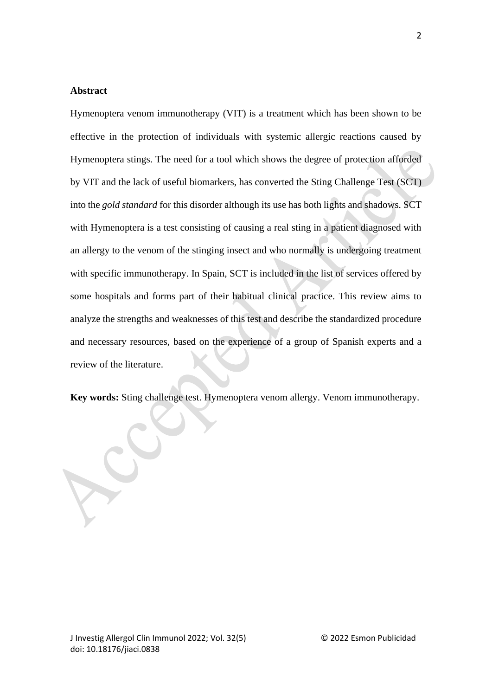### **Abstract**

Hymenoptera venom immunotherapy (VIT) is a treatment which has been shown to be effective in the protection of individuals with systemic allergic reactions caused by Hymenoptera stings. The need for a tool which shows the degree of protection afforded by VIT and the lack of useful biomarkers, has converted the Sting Challenge Test (SCT) into the *gold standard* for this disorder although its use has both lights and shadows. SCT with Hymenoptera is a test consisting of causing a real sting in a patient diagnosed with an allergy to the venom of the stinging insect and who normally is undergoing treatment with specific immunotherapy. In Spain, SCT is included in the list of services offered by some hospitals and forms part of their habitual clinical practice. This review aims to analyze the strengths and weaknesses of this test and describe the standardized procedure and necessary resources, based on the experience of a group of Spanish experts and a review of the literature.

**Key words:** Sting challenge test. Hymenoptera venom allergy. Venom immunotherapy.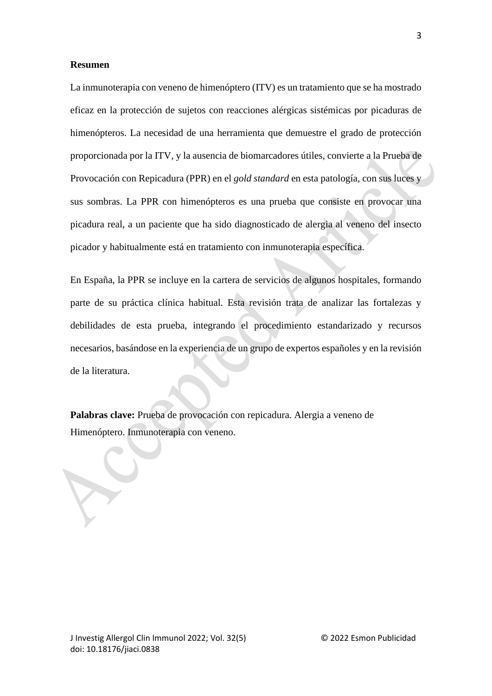#### **Resumen**

La inmunoterapia con veneno de himenóptero (ITV) es un tratamiento que se ha mostrado eficaz en la protección de sujetos con reacciones alérgicas sistémicas por picaduras de himenópteros. La necesidad de una herramienta que demuestre el grado de protección proporcionada por la ITV, y la ausencia de biomarcadores útiles, convierte a la Prueba de Provocación con Repicadura (PPR) en el *gold standard* en esta patología, con sus luces y sus sombras. La PPR con himenópteros es una prueba que consiste en provocar una picadura real, a un paciente que ha sido diagnosticado de alergia al veneno del insecto picador y habitualmente está en tratamiento con inmunoterapia específica.

En España, la PPR se incluye en la cartera de servicios de algunos hospitales, formando parte de su práctica clínica habitual. Esta revisión trata de analizar las fortalezas y debilidades de esta prueba, integrando el procedimiento estandarizado y recursos necesarios, basándose en la experiencia de un grupo de expertos españoles y en la revisión de la literatura.

**Palabras clave:** Prueba de provocación con repicadura. Alergia a veneno de Himenóptero. Inmunoterapia con veneno.

3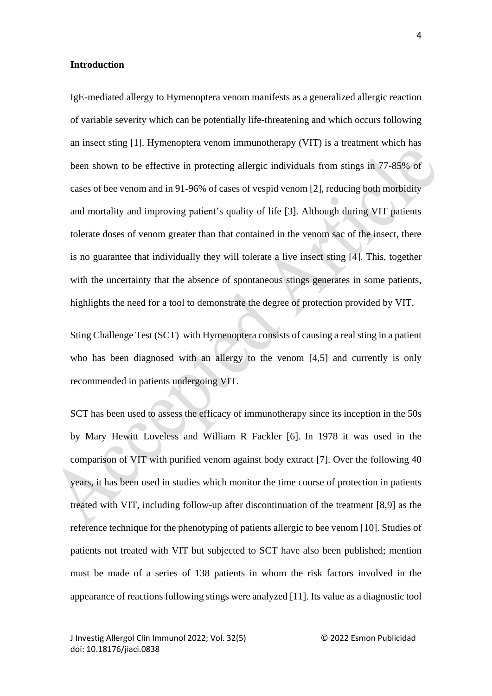#### **Introduction**

IgE-mediated allergy to Hymenoptera venom manifests as a generalized allergic reaction of variable severity which can be potentially life-threatening and which occurs following an insect sting [1]. Hymenoptera venom immunotherapy (VIT) is a treatment which has been shown to be effective in protecting allergic individuals from stings in 77-85% of cases of bee venom and in 91-96% of cases of vespid venom [2], reducing both morbidity and mortality and improving patient's quality of life [3]. Although during VIT patients tolerate doses of venom greater than that contained in the venom sac of the insect, there is no guarantee that individually they will tolerate a live insect sting [4]. This, together with the uncertainty that the absence of spontaneous stings generates in some patients, highlights the need for a tool to demonstrate the degree of protection provided by VIT.

Sting Challenge Test (SCT) with Hymenoptera consists of causing a real sting in a patient who has been diagnosed with an allergy to the venom [4,5] and currently is only recommended in patients undergoing VIT.

SCT has been used to assess the efficacy of immunotherapy since its inception in the 50s by Mary Hewitt Loveless and William R Fackler [6]. In 1978 it was used in the comparison of VIT with purified venom against body extract [7]. Over the following 40 years, it has been used in studies which monitor the time course of protection in patients treated with VIT, including follow-up after discontinuation of the treatment [8,9] as the reference technique for the phenotyping of patients allergic to bee venom [10]. Studies of patients not treated with VIT but subjected to SCT have also been published; mention must be made of a series of 138 patients in whom the risk factors involved in the appearance of reactions following stings were analyzed [11]. Its value as a diagnostic tool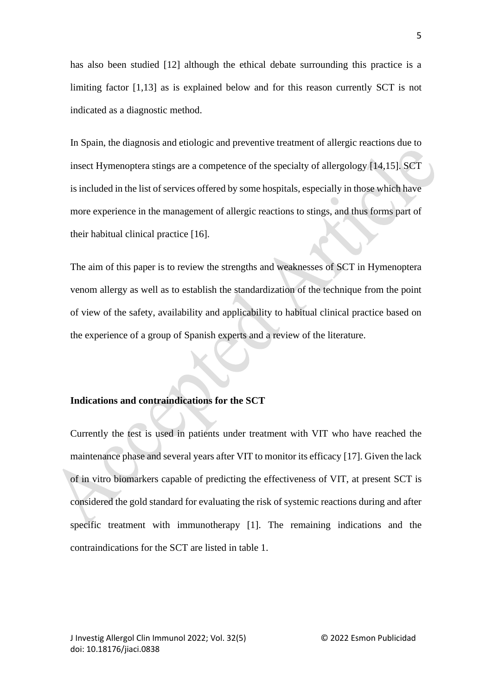has also been studied [12] although the ethical debate surrounding this practice is a limiting factor [1,13] as is explained below and for this reason currently SCT is not indicated as a diagnostic method.

In Spain, the diagnosis and etiologic and preventive treatment of allergic reactions due to insect Hymenoptera stings are a competence of the specialty of allergology [14,15]. SCT is included in the list of services offered by some hospitals, especially in those which have more experience in the management of allergic reactions to stings, and thus forms part of their habitual clinical practice [16].

The aim of this paper is to review the strengths and weaknesses of SCT in Hymenoptera venom allergy as well as to establish the standardization of the technique from the point of view of the safety, availability and applicability to habitual clinical practice based on the experience of a group of Spanish experts and a review of the literature.

## **Indications and contraindications for the SCT**

Currently the test is used in patients under treatment with VIT who have reached the maintenance phase and several years after VIT to monitor its efficacy [17]. Given the lack of in vitro biomarkers capable of predicting the effectiveness of VIT, at present SCT is considered the gold standard for evaluating the risk of systemic reactions during and after specific treatment with immunotherapy [1]. The remaining indications and the contraindications for the SCT are listed in table 1.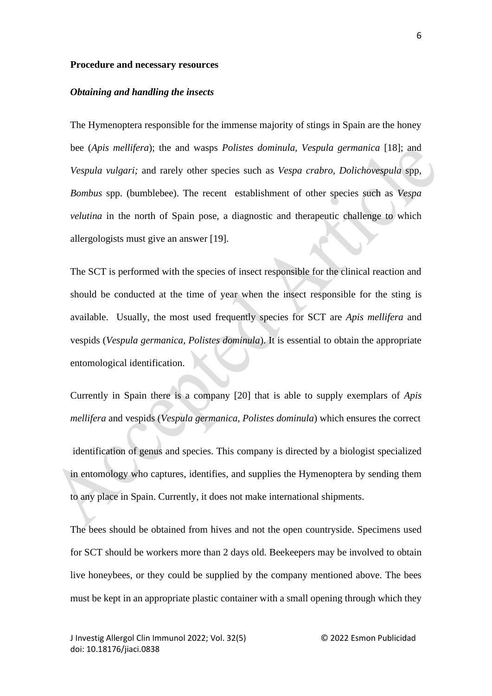#### **Procedure and necessary resources**

#### *Obtaining and handling the insects*

The Hymenoptera responsible for the immense majority of stings in Spain are the honey bee (*Apis mellifera*); the and wasps *Polistes dominula, Vespula germanica* [18]; and *Vespula vulgari;* and rarely other species such as *Vespa crabro, Dolichovespula* spp, *Bombus* spp. (bumblebee). The recent establishment of other species such as *Vespa velutina* in the north of Spain pose, a diagnostic and therapeutic challenge to which allergologists must give an answer [19].

The SCT is performed with the species of insect responsible for the clinical reaction and should be conducted at the time of year when the insect responsible for the sting is available. Usually, the most used frequently species for SCT are *Apis mellifera* and vespids (*Vespula germanica, Polistes dominula*). It is essential to obtain the appropriate entomological identification.

Currently in Spain there is a company [20] that is able to supply exemplars of *Apis mellifera* and vespids (*Vespula germanica, Polistes dominula*) which ensures the correct

identification of genus and species. This company is directed by a biologist specialized in entomology who captures, identifies, and supplies the Hymenoptera by sending them to any place in Spain. Currently, it does not make international shipments.

The bees should be obtained from hives and not the open countryside. Specimens used for SCT should be workers more than 2 days old. Beekeepers may be involved to obtain live honeybees, or they could be supplied by the company mentioned above. The bees must be kept in an appropriate plastic container with a small opening through which they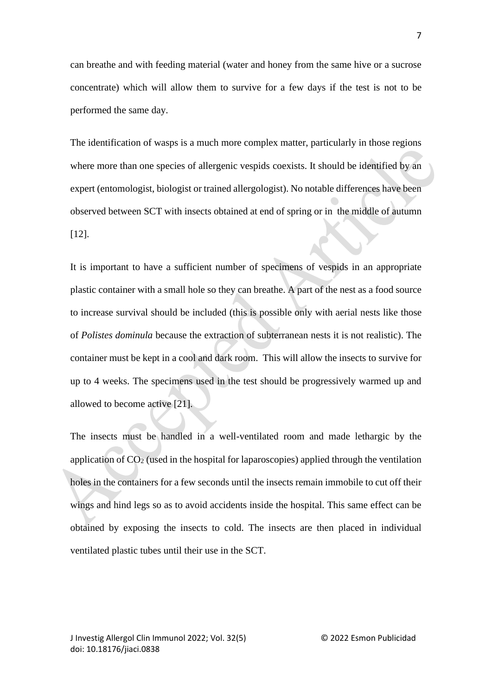can breathe and with feeding material (water and honey from the same hive or a sucrose concentrate) which will allow them to survive for a few days if the test is not to be performed the same day.

The identification of wasps is a much more complex matter, particularly in those regions where more than one species of allergenic vespids coexists. It should be identified by an expert (entomologist, biologist or trained allergologist). No notable differences have been observed between SCT with insects obtained at end of spring or in the middle of autumn [12].

It is important to have a sufficient number of specimens of vespids in an appropriate plastic container with a small hole so they can breathe. A part of the nest as a food source to increase survival should be included (this is possible only with aerial nests like those of *Polistes dominula* because the extraction of subterranean nests it is not realistic). The container must be kept in a cool and dark room. This will allow the insects to survive for up to 4 weeks. The specimens used in the test should be progressively warmed up and allowed to become active [21].

The insects must be handled in a well-ventilated room and made lethargic by the application of  $CO<sub>2</sub>$  (used in the hospital for laparoscopies) applied through the ventilation holes in the containers for a few seconds until the insects remain immobile to cut off their wings and hind legs so as to avoid accidents inside the hospital. This same effect can be obtained by exposing the insects to cold. The insects are then placed in individual ventilated plastic tubes until their use in the SCT.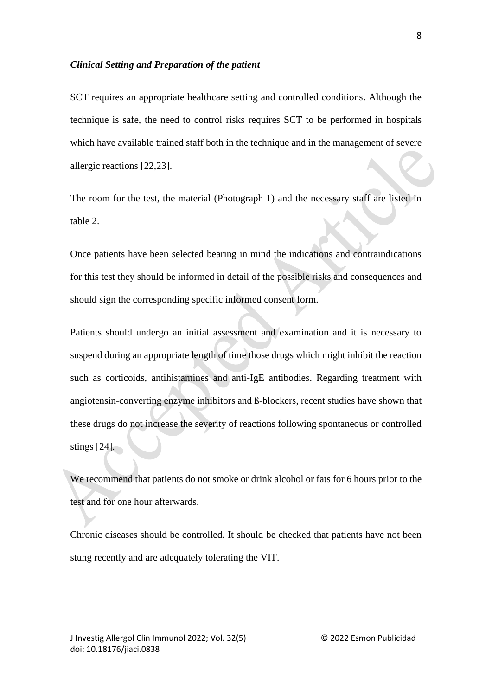#### *Clinical Setting and Preparation of the patient*

SCT requires an appropriate healthcare setting and controlled conditions. Although the technique is safe, the need to control risks requires SCT to be performed in hospitals which have available trained staff both in the technique and in the management of severe allergic reactions [22,23].

The room for the test, the material (Photograph 1) and the necessary staff are listed in table 2.

Once patients have been selected bearing in mind the indications and contraindications for this test they should be informed in detail of the possible risks and consequences and should sign the corresponding specific informed consent form.

Patients should undergo an initial assessment and examination and it is necessary to suspend during an appropriate length of time those drugs which might inhibit the reaction such as corticoids, antihistamines and anti-IgE antibodies. Regarding treatment with angiotensin-converting enzyme inhibitors and ß-blockers, recent studies have shown that these drugs do not increase the severity of reactions following spontaneous or controlled stings [24].

We recommend that patients do not smoke or drink alcohol or fats for 6 hours prior to the test and for one hour afterwards.

Chronic diseases should be controlled. It should be checked that patients have not been stung recently and are adequately tolerating the VIT.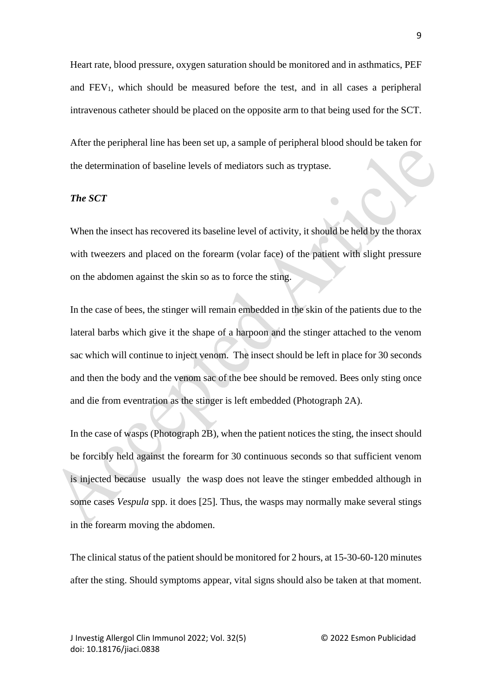Heart rate, blood pressure, oxygen saturation should be monitored and in asthmatics, PEF and FEV1, which should be measured before the test, and in all cases a peripheral intravenous catheter should be placed on the opposite arm to that being used for the SCT.

After the peripheral line has been set up, a sample of peripheral blood should be taken for the determination of baseline levels of mediators such as tryptase.

 $\Box$ 

### *The SCT*

When the insect has recovered its baseline level of activity, it should be held by the thorax with tweezers and placed on the forearm (volar face) of the patient with slight pressure on the abdomen against the skin so as to force the sting.

In the case of bees, the stinger will remain embedded in the skin of the patients due to the lateral barbs which give it the shape of a harpoon and the stinger attached to the venom sac which will continue to inject venom. The insect should be left in place for 30 seconds and then the body and the venom sac of the bee should be removed. Bees only sting once and die from eventration as the stinger is left embedded (Photograph 2A).

In the case of wasps (Photograph 2B), when the patient notices the sting, the insect should be forcibly held against the forearm for 30 continuous seconds so that sufficient venom is injected because usually the wasp does not leave the stinger embedded although in some cases *Vespula* spp. it does [25]. Thus, the wasps may normally make several stings in the forearm moving the abdomen.

The clinical status of the patient should be monitored for 2 hours, at 15-30-60-120 minutes after the sting. Should symptoms appear, vital signs should also be taken at that moment.

9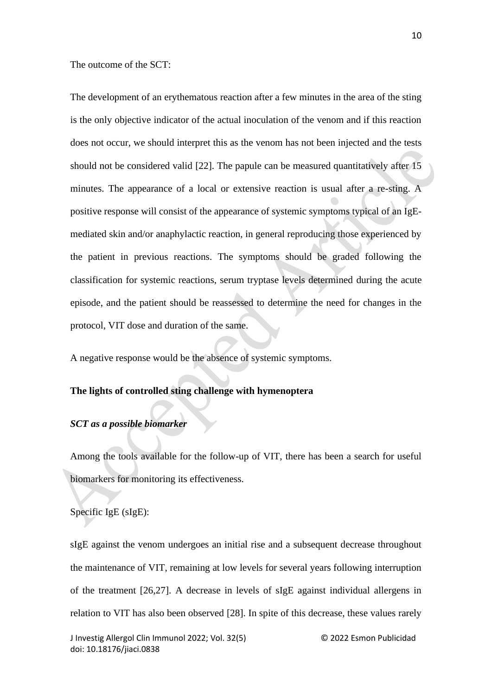The outcome of the SCT:

The development of an erythematous reaction after a few minutes in the area of the sting is the only objective indicator of the actual inoculation of the venom and if this reaction does not occur, we should interpret this as the venom has not been injected and the tests should not be considered valid [22]. The papule can be measured quantitatively after 15 minutes. The appearance of a local or extensive reaction is usual after a re-sting. A positive response will consist of the appearance of systemic symptoms typical of an IgEmediated skin and/or anaphylactic reaction, in general reproducing those experienced by the patient in previous reactions. The symptoms should be graded following the classification for systemic reactions, serum tryptase levels determined during the acute episode, and the patient should be reassessed to determine the need for changes in the protocol, VIT dose and duration of the same.

A negative response would be the absence of systemic symptoms.

## **The lights of controlled sting challenge with hymenoptera**

### *SCT as a possible biomarker*

Among the tools available for the follow-up of VIT, there has been a search for useful biomarkers for monitoring its effectiveness.

Specific IgE (sIgE):

sIgE against the venom undergoes an initial rise and a subsequent decrease throughout the maintenance of VIT, remaining at low levels for several years following interruption of the treatment [26,27]. A decrease in levels of sIgE against individual allergens in relation to VIT has also been observed [28]. In spite of this decrease, these values rarely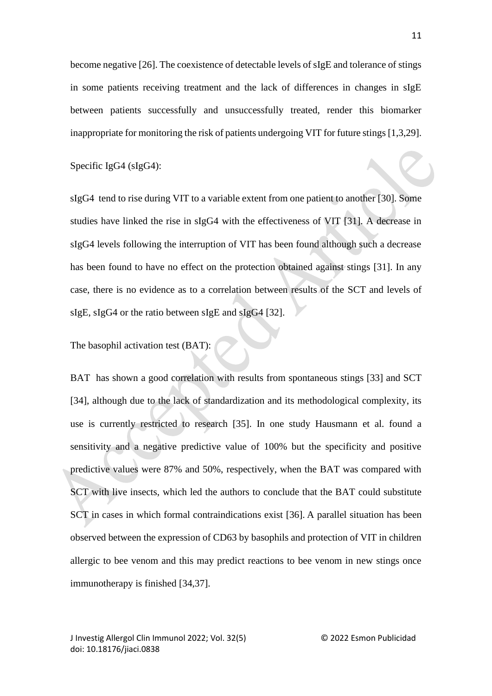become negative [26]. The coexistence of detectable levels of sIgE and tolerance of stings in some patients receiving treatment and the lack of differences in changes in sIgE between patients successfully and unsuccessfully treated, render this biomarker inappropriate for monitoring the risk of patients undergoing VIT for future stings [1,3,29].

Specific IgG4 (sIgG4):

sIgG4 tend to rise during VIT to a variable extent from one patient to another [30]. Some studies have linked the rise in sIgG4 with the effectiveness of VIT [31]. A decrease in sIgG4 levels following the interruption of VIT has been found although such a decrease has been found to have no effect on the protection obtained against stings [31]. In any case, there is no evidence as to a correlation between results of the SCT and levels of sIgE, sIgG4 or the ratio between sIgE and sIgG4 [32].

The basophil activation test (BAT):

BAT has shown a good correlation with results from spontaneous stings [33] and SCT [34], although due to the lack of standardization and its methodological complexity, its use is currently restricted to research [35]. In one study Hausmann et al. found a sensitivity and a negative predictive value of 100% but the specificity and positive predictive values were 87% and 50%, respectively, when the BAT was compared with SCT with live insects, which led the authors to conclude that the BAT could substitute SCT in cases in which formal contraindications exist [36]. A parallel situation has been observed between the expression of CD63 by basophils and protection of VIT in children allergic to bee venom and this may predict reactions to bee venom in new stings once immunotherapy is finished [34,37].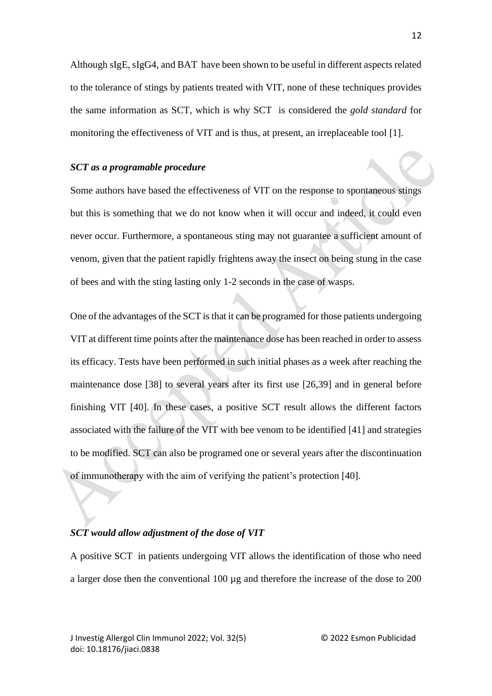Although sIgE, sIgG4, and BAT have been shown to be useful in different aspects related to the tolerance of stings by patients treated with VIT, none of these techniques provides the same information as SCT, which is why SCT is considered the *gold standard* for monitoring the effectiveness of VIT and is thus, at present, an irreplaceable tool [1].

#### *SCT as a programable procedure*

Some authors have based the effectiveness of VIT on the response to spontaneous stings but this is something that we do not know when it will occur and indeed, it could even never occur. Furthermore, a spontaneous sting may not guarantee a sufficient amount of venom, given that the patient rapidly frightens away the insect on being stung in the case of bees and with the sting lasting only 1-2 seconds in the case of wasps.

One of the advantages of the SCT is that it can be programed for those patients undergoing VIT at different time points after the maintenance dose has been reached in order to assess its efficacy. Tests have been performed in such initial phases as a week after reaching the maintenance dose [38] to several years after its first use [26,39] and in general before finishing VIT [40]. In these cases, a positive SCT result allows the different factors associated with the failure of the VIT with bee venom to be identified [41] and strategies to be modified. SCT can also be programed one or several years after the discontinuation of immunotherapy with the aim of verifying the patient's protection [40].

#### *SCT would allow adjustment of the dose of VIT*

A positive SCT in patients undergoing VIT allows the identification of those who need a larger dose then the conventional 100 µg and therefore the increase of the dose to 200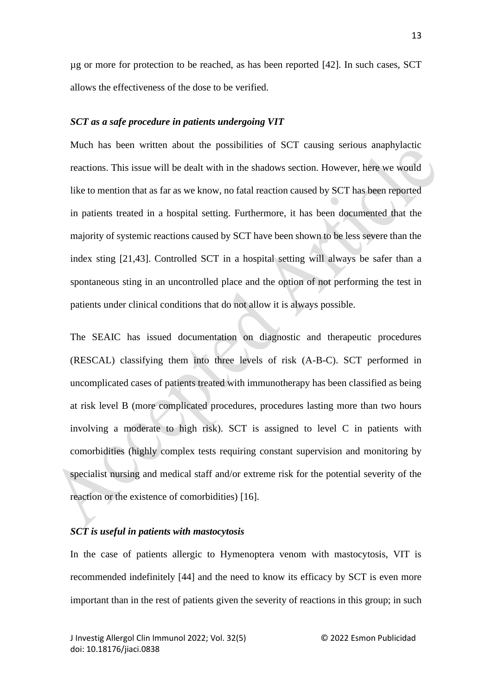µg or more for protection to be reached, as has been reported [42]. In such cases, SCT allows the effectiveness of the dose to be verified.

### *SCT as a safe procedure in patients undergoing VIT*

Much has been written about the possibilities of SCT causing serious anaphylactic reactions. This issue will be dealt with in the shadows section. However, here we would like to mention that as far as we know, no fatal reaction caused by SCT has been reported in patients treated in a hospital setting. Furthermore, it has been documented that the majority of systemic reactions caused by SCT have been shown to be less severe than the index sting [21,43]. Controlled SCT in a hospital setting will always be safer than a spontaneous sting in an uncontrolled place and the option of not performing the test in patients under clinical conditions that do not allow it is always possible.

The SEAIC has issued documentation on diagnostic and therapeutic procedures (RESCAL) classifying them into three levels of risk (A-B-C). SCT performed in uncomplicated cases of patients treated with immunotherapy has been classified as being at risk level B (more complicated procedures, procedures lasting more than two hours involving a moderate to high risk). SCT is assigned to level C in patients with comorbidities (highly complex tests requiring constant supervision and monitoring by specialist nursing and medical staff and/or extreme risk for the potential severity of the reaction or the existence of comorbidities) [16].

#### *SCT is useful in patients with mastocytosis*

In the case of patients allergic to Hymenoptera venom with mastocytosis, VIT is recommended indefinitely [44] and the need to know its efficacy by SCT is even more important than in the rest of patients given the severity of reactions in this group; in such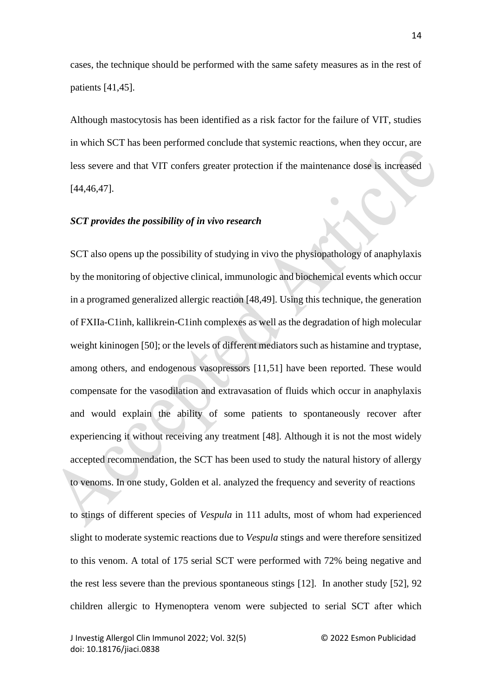cases, the technique should be performed with the same safety measures as in the rest of patients [41,45].

Although mastocytosis has been identified as a risk factor for the failure of VIT, studies in which SCT has been performed conclude that systemic reactions, when they occur, are less severe and that VIT confers greater protection if the maintenance dose is increased [44,46,47].

#### *SCT provides the possibility of in vivo research*

SCT also opens up the possibility of studying in vivo the physiopathology of anaphylaxis by the monitoring of objective clinical, immunologic and biochemical events which occur in a programed generalized allergic reaction [48,49]. Using this technique, the generation of FXIIa-C1inh, kallikrein-C1inh complexes as well as the degradation of high molecular weight kininogen [50]; or the levels of different mediators such as histamine and tryptase, among others, and endogenous vasopressors [11,51] have been reported. These would compensate for the vasodilation and extravasation of fluids which occur in anaphylaxis and would explain the ability of some patients to spontaneously recover after experiencing it without receiving any treatment [48]. Although it is not the most widely accepted recommendation, the SCT has been used to study the natural history of allergy to venoms. In one study, Golden et al. analyzed the frequency and severity of reactions

to stings of different species of *Vespula* in 111 adults, most of whom had experienced slight to moderate systemic reactions due to *Vespula* stings and were therefore sensitized to this venom. A total of 175 serial SCT were performed with 72% being negative and the rest less severe than the previous spontaneous stings [12]. In another study [52], 92 children allergic to Hymenoptera venom were subjected to serial SCT after which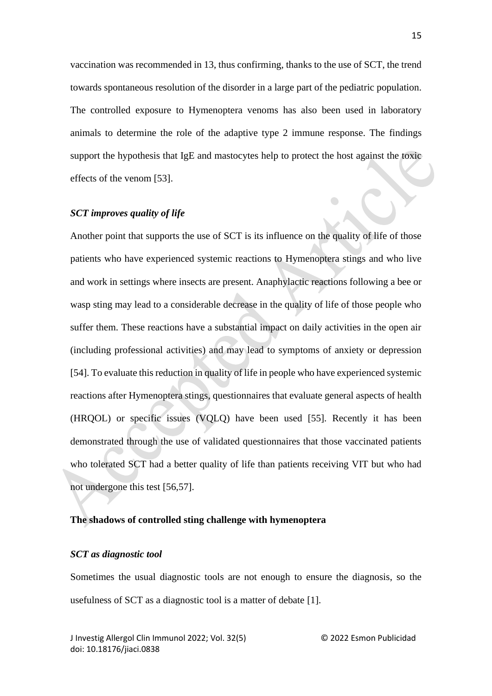vaccination was recommended in 13, thus confirming, thanks to the use of SCT, the trend towards spontaneous resolution of the disorder in a large part of the pediatric population. The controlled exposure to Hymenoptera venoms has also been used in laboratory animals to determine the role of the adaptive type 2 immune response. The findings support the hypothesis that IgE and mastocytes help to protect the host against the toxic effects of the venom [53].

#### *SCT improves quality of life*

Another point that supports the use of SCT is its influence on the quality of life of those patients who have experienced systemic reactions to Hymenoptera stings and who live and work in settings where insects are present. Anaphylactic reactions following a bee or wasp sting may lead to a considerable decrease in the quality of life of those people who suffer them. These reactions have a substantial impact on daily activities in the open air (including professional activities) and may lead to symptoms of anxiety or depression [54]. To evaluate this reduction in quality of life in people who have experienced systemic reactions after Hymenoptera stings, questionnaires that evaluate general aspects of health (HRQOL) or specific issues (VQLQ) have been used [55]. Recently it has been demonstrated through the use of validated questionnaires that those vaccinated patients who tolerated SCT had a better quality of life than patients receiving VIT but who had not undergone this test [56,57].

#### **The shadows of controlled sting challenge with hymenoptera**

#### *SCT as diagnostic tool*

Sometimes the usual diagnostic tools are not enough to ensure the diagnosis, so the usefulness of SCT as a diagnostic tool is a matter of debate [1].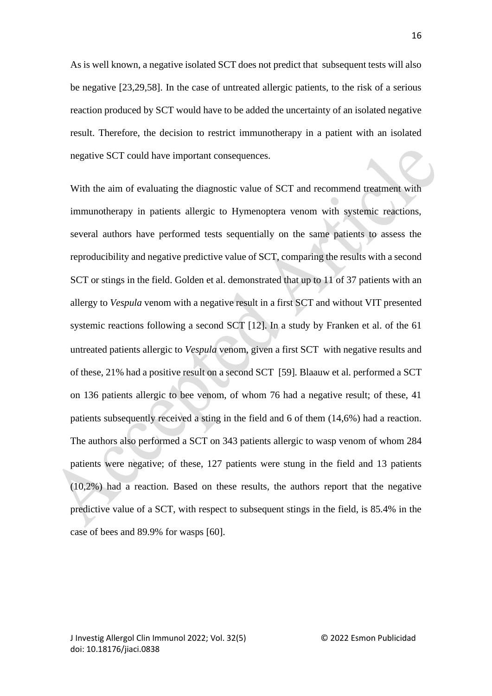As is well known, a negative isolated SCT does not predict that subsequent tests will also be negative [23,29,58]. In the case of untreated allergic patients, to the risk of a serious reaction produced by SCT would have to be added the uncertainty of an isolated negative result. Therefore, the decision to restrict immunotherapy in a patient with an isolated negative SCT could have important consequences.

With the aim of evaluating the diagnostic value of SCT and recommend treatment with immunotherapy in patients allergic to Hymenoptera venom with systemic reactions, several authors have performed tests sequentially on the same patients to assess the reproducibility and negative predictive value of SCT, comparing the results with a second SCT or stings in the field. Golden et al. demonstrated that up to 11 of 37 patients with an allergy to *Vespula* venom with a negative result in a first SCT and without VIT presented systemic reactions following a second SCT [12]. In a study by Franken et al. of the 61 untreated patients allergic to *Vespula* venom, given a first SCT with negative results and of these, 21% had a positive result on a second SCT [59]. Blaauw et al. performed a SCT on 136 patients allergic to bee venom, of whom 76 had a negative result; of these, 41 patients subsequently received a sting in the field and 6 of them (14,6%) had a reaction. The authors also performed a SCT on 343 patients allergic to wasp venom of whom 284 patients were negative; of these, 127 patients were stung in the field and 13 patients (10,2%) had a reaction. Based on these results, the authors report that the negative predictive value of a SCT, with respect to subsequent stings in the field, is 85.4% in the case of bees and 89.9% for wasps [60].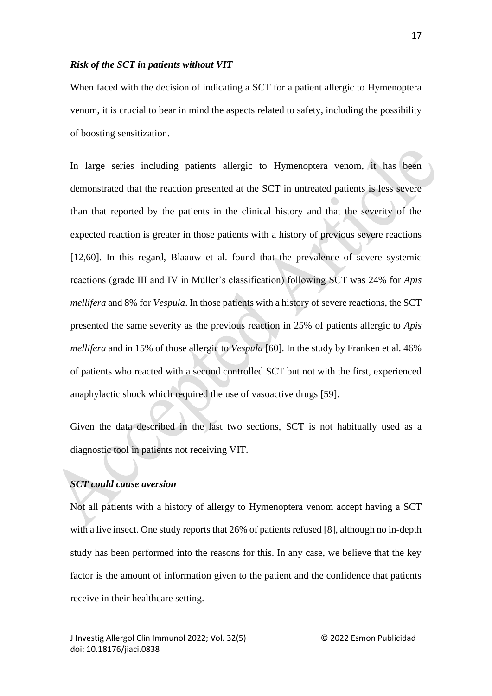#### *Risk of the SCT in patients without VIT*

When faced with the decision of indicating a SCT for a patient allergic to Hymenoptera venom, it is crucial to bear in mind the aspects related to safety, including the possibility of boosting sensitization.

In large series including patients allergic to Hymenoptera venom, it has been demonstrated that the reaction presented at the SCT in untreated patients is less severe than that reported by the patients in the clinical history and that the severity of the expected reaction is greater in those patients with a history of previous severe reactions [12,60]. In this regard, Blaauw et al. found that the prevalence of severe systemic reactions (grade III and IV in Müller's classification) following SCT was 24% for *Apis mellifera* and 8% for *Vespula*. In those patients with a history of severe reactions, the SCT presented the same severity as the previous reaction in 25% of patients allergic to *Apis mellifera* and in 15% of those allergic to *Vespula* [60]. In the study by Franken et al. 46% of patients who reacted with a second controlled SCT but not with the first, experienced anaphylactic shock which required the use of vasoactive drugs [59].

Given the data described in the last two sections, SCT is not habitually used as a diagnostic tool in patients not receiving VIT.

# *SCT could cause aversion*

Not all patients with a history of allergy to Hymenoptera venom accept having a SCT with a live insect. One study reports that 26% of patients refused [8], although no in-depth study has been performed into the reasons for this. In any case, we believe that the key factor is the amount of information given to the patient and the confidence that patients receive in their healthcare setting.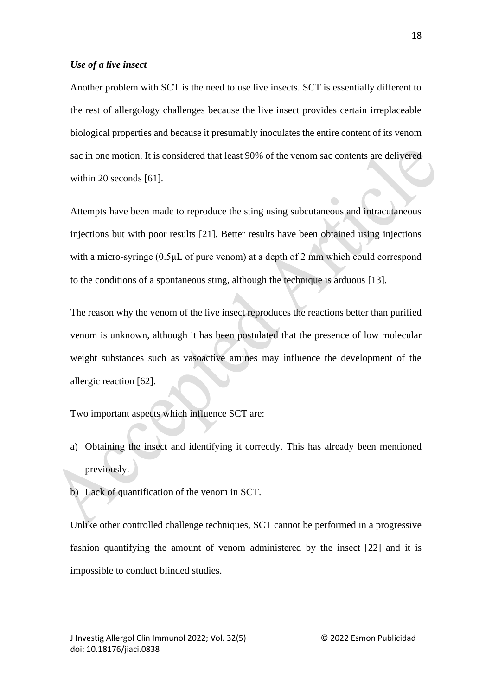#### *Use of a live insect*

Another problem with SCT is the need to use live insects. SCT is essentially different to the rest of allergology challenges because the live insect provides certain irreplaceable biological properties and because it presumably inoculates the entire content of its venom sac in one motion. It is considered that least 90% of the venom sac contents are delivered within 20 seconds [61].

Attempts have been made to reproduce the sting using subcutaneous and intracutaneous injections but with poor results [21]. Better results have been obtained using injections with a micro-syringe (0.5μL of pure venom) at a depth of 2 mm which could correspond to the conditions of a spontaneous sting, although the technique is arduous [13].

The reason why the venom of the live insect reproduces the reactions better than purified venom is unknown, although it has been postulated that the presence of low molecular weight substances such as vasoactive amines may influence the development of the allergic reaction [62].

Two important aspects which influence SCT are:

- a) Obtaining the insect and identifying it correctly. This has already been mentioned previously.
- b) Lack of quantification of the venom in SCT.

Unlike other controlled challenge techniques, SCT cannot be performed in a progressive fashion quantifying the amount of venom administered by the insect [22] and it is impossible to conduct blinded studies.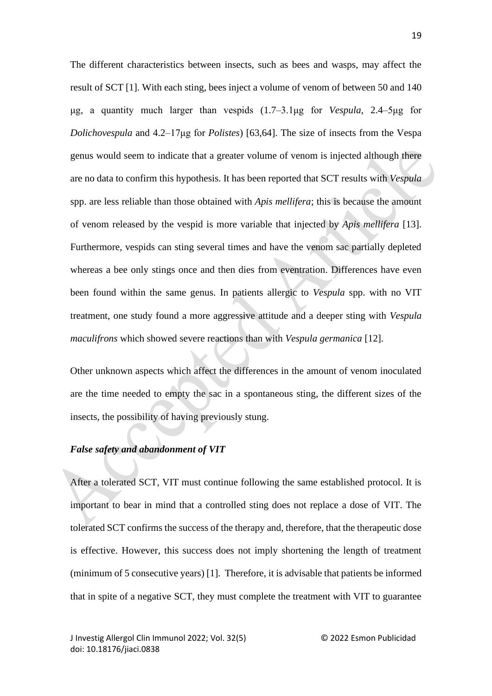The different characteristics between insects, such as bees and wasps, may affect the result of SCT [1]. With each sting, bees inject a volume of venom of between 50 and 140 μg, a quantity much larger than vespids (1.7–3.1μg for *Vespula,* 2.4–5μg for *Dolichovespula* and 4.2–17μg for *Polistes*) [63,64]. The size of insects from the Vespa genus would seem to indicate that a greater volume of venom is injected although there are no data to confirm this hypothesis. It has been reported that SCT results with *Vespula*  spp. are less reliable than those obtained with *Apis mellifera*; this is because the amount of venom released by the vespid is more variable that injected by *Apis mellifera* [13]. Furthermore, vespids can sting several times and have the venom sac partially depleted whereas a bee only stings once and then dies from eventration. Differences have even been found within the same genus. In patients allergic to *Vespula* spp. with no VIT treatment, one study found a more aggressive attitude and a deeper sting with *Vespula maculifrons* which showed severe reactions than with *Vespula germanica* [12].

Other unknown aspects which affect the differences in the amount of venom inoculated are the time needed to empty the sac in a spontaneous sting, the different sizes of the insects, the possibility of having previously stung.

### *False safety and abandonment of VIT*

After a tolerated SCT, VIT must continue following the same established protocol. It is important to bear in mind that a controlled sting does not replace a dose of VIT. The tolerated SCT confirms the success of the therapy and, therefore, that the therapeutic dose is effective. However, this success does not imply shortening the length of treatment (minimum of 5 consecutive years) [1]. Therefore, it is advisable that patients be informed that in spite of a negative SCT, they must complete the treatment with VIT to guarantee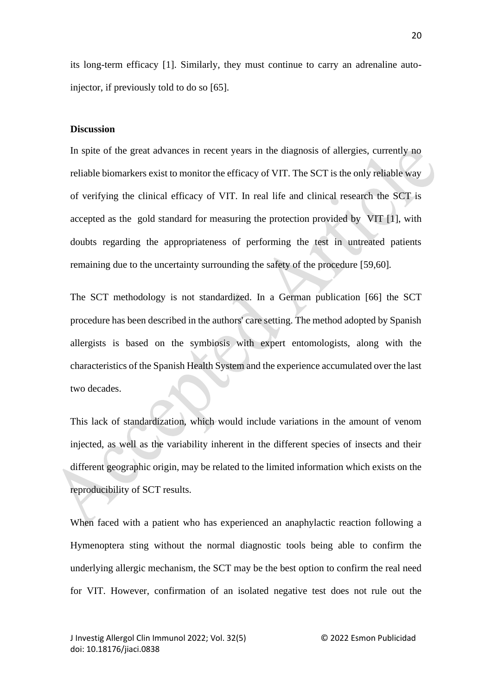its long-term efficacy [1]. Similarly, they must continue to carry an adrenaline autoinjector, if previously told to do so [65].

#### **Discussion**

In spite of the great advances in recent years in the diagnosis of allergies, currently no reliable biomarkers exist to monitor the efficacy of VIT. The SCT is the only reliable way of verifying the clinical efficacy of VIT. In real life and clinical research the SCT is accepted as the gold standard for measuring the protection provided by VIT [1], with doubts regarding the appropriateness of performing the test in untreated patients remaining due to the uncertainty surrounding the safety of the procedure [59,60]*.*

The SCT methodology is not standardized. In a German publication [66] the SCT procedure has been described in the authors' care setting. The method adopted by Spanish allergists is based on the symbiosis with expert entomologists, along with the characteristics of the Spanish Health System and the experience accumulated over the last two decades.

This lack of standardization, which would include variations in the amount of venom injected, as well as the variability inherent in the different species of insects and their different geographic origin, may be related to the limited information which exists on the reproducibility of SCT results.

When faced with a patient who has experienced an anaphylactic reaction following a Hymenoptera sting without the normal diagnostic tools being able to confirm the underlying allergic mechanism, the SCT may be the best option to confirm the real need for VIT. However, confirmation of an isolated negative test does not rule out the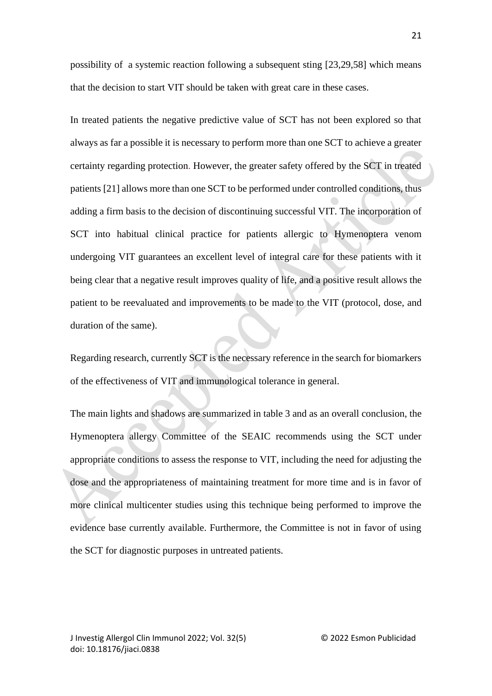possibility of a systemic reaction following a subsequent sting [23,29,58] which means that the decision to start VIT should be taken with great care in these cases.

In treated patients the negative predictive value of SCT has not been explored so that always as far a possible it is necessary to perform more than one SCT to achieve a greater certainty regarding protection. However, the greater safety offered by the SCT in treated patients [21] allows more than one SCT to be performed under controlled conditions, thus adding a firm basis to the decision of discontinuing successful VIT. The incorporation of SCT into habitual clinical practice for patients allergic to Hymenoptera venom undergoing VIT guarantees an excellent level of integral care for these patients with it being clear that a negative result improves quality of life, and a positive result allows the patient to be reevaluated and improvements to be made to the VIT (protocol, dose, and duration of the same).

Regarding research, currently SCT is the necessary reference in the search for biomarkers of the effectiveness of VIT and immunological tolerance in general.

The main lights and shadows are summarized in table 3 and as an overall conclusion, the Hymenoptera allergy Committee of the SEAIC recommends using the SCT under appropriate conditions to assess the response to VIT, including the need for adjusting the dose and the appropriateness of maintaining treatment for more time and is in favor of more clinical multicenter studies using this technique being performed to improve the evidence base currently available. Furthermore, the Committee is not in favor of using the SCT for diagnostic purposes in untreated patients.

21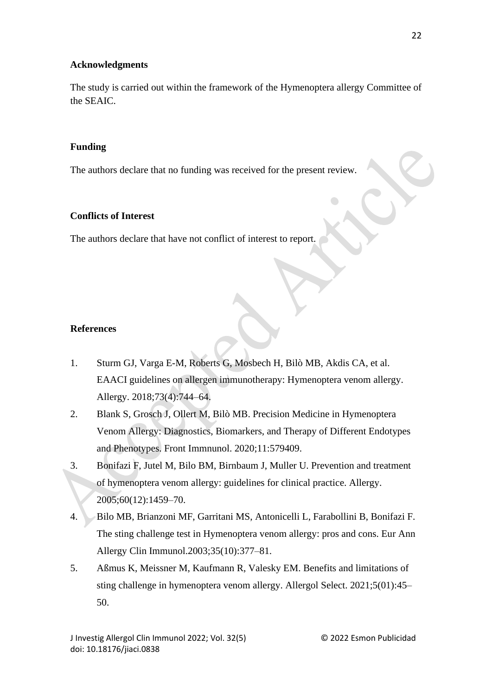# **Acknowledgments**

The study is carried out within the framework of the Hymenoptera allergy Committee of the SEAIC.

# **Funding**

The authors declare that no funding was received for the present review.

# **Conflicts of Interest**

The authors declare that have not conflict of interest to report.

# **References**

- 1. Sturm GJ, Varga E-M, Roberts G, Mosbech H, Bilò MB, Akdis CA, et al. EAACI guidelines on allergen immunotherapy: Hymenoptera venom allergy. Allergy. 2018;73(4):744–64.
- 2. Blank S, Grosch J, Ollert M, Bilò MB. Precision Medicine in Hymenoptera Venom Allergy: Diagnostics, Biomarkers, and Therapy of Different Endotypes and Phenotypes. Front Immnunol. 2020;11:579409.
- 3. Bonifazi F, Jutel M, Bilo BM, Birnbaum J, Muller U. Prevention and treatment of hymenoptera venom allergy: guidelines for clinical practice. Allergy. 2005;60(12):1459–70.
- 4. Bilo MB, Brianzoni MF, Garritani MS, Antonicelli L, Farabollini B, Bonifazi F. The sting challenge test in Hymenoptera venom allergy: pros and cons. Eur Ann Allergy Clin Immunol.2003;35(10):377–81.
- 5. Aßmus K, Meissner M, Kaufmann R, Valesky EM. Benefits and limitations of sting challenge in hymenoptera venom allergy. Allergol Select. 2021;5(01):45– 50.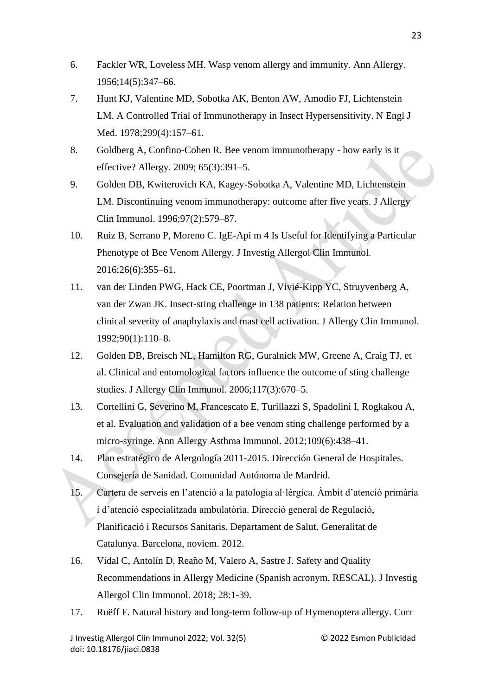- 6. Fackler WR, Loveless MH. Wasp venom allergy and immunity. Ann Allergy. 1956;14(5):347–66.
- 7. Hunt KJ, Valentine MD, Sobotka AK, Benton AW, Amodio FJ, Lichtenstein LM. A Controlled Trial of Immunotherapy in Insect Hypersensitivity. N Engl J Med. 1978;299(4):157-61.
- 8. Goldberg A, Confino-Cohen R. Bee venom immunotherapy how early is it effective? Allergy. 2009; 65(3):391–5.
- 9. Golden DB, Kwiterovich KA, Kagey-Sobotka A, Valentine MD, Lichtenstein LM. Discontinuing venom immunotherapy: outcome after five years. J Allergy Clin Immunol. 1996;97(2):579–87.
- 10. Ruiz B, Serrano P, Moreno C. IgE-Api m 4 Is Useful for Identifying a Particular Phenotype of Bee Venom Allergy. J Investig Allergol Clin Immunol. 2016;26(6):355–61.
- 11. van der Linden PWG, Hack CE, Poortman J, Vivié-Kipp YC, Struyvenberg A, van der Zwan JK. Insect-sting challenge in 138 patients: Relation between clinical severity of anaphylaxis and mast cell activation. J Allergy Clin Immunol. 1992;90(1):110–8.
- 12. Golden DB, Breisch NL, Hamilton RG, Guralnick MW, Greene A, Craig TJ, et al. Clinical and entomological factors influence the outcome of sting challenge studies. J Allergy Clin Immunol. 2006;117(3):670–5.
- 13. Cortellini G, Severino M, Francescato E, Turillazzi S, Spadolini I, Rogkakou A, et al. Evaluation and validation of a bee venom sting challenge performed by a micro-syringe. Ann Allergy Asthma Immunol. 2012;109(6):438–41.
- 14. Plan estratégico de Alergología 2011-2015. Dirección General de Hospitales. Consejería de Sanidad. Comunidad Autónoma de Mardrid.
- 15. Cartera de serveis en l'atenció a la patologia al·lèrgica. Àmbit d'atenció primària i d'atenció especialitzada ambulatòria. Direcció general de Regulació, Planificació i Recursos Sanitaris. Departament de Salut. Generalitat de Catalunya. Barcelona, noviem. 2012.
- 16. Vidal C, Antolín D, Reaño M, Valero A, Sastre J. Safety and Quality Recommendations in Allergy Medicine (Spanish acronym, RESCAL). J Investig Allergol Clin Immunol. 2018; 28:1-39.
- 17. Ruëff F. Natural history and long-term follow-up of Hymenoptera allergy. Curr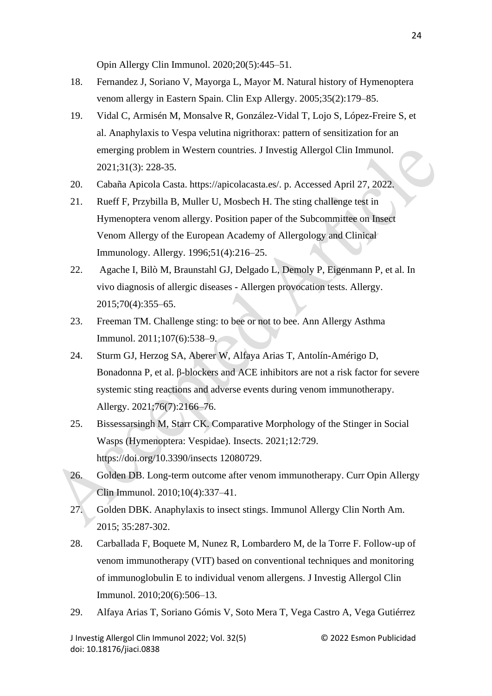Opin Allergy Clin Immunol. 2020;20(5):445–51.

- 18. Fernandez J, Soriano V, Mayorga L, Mayor M. Natural history of Hymenoptera venom allergy in Eastern Spain. Clin Exp Allergy. 2005;35(2):179–85.
- 19. Vidal C, Armisén M, Monsalve R, González-Vidal T, Lojo S, López-Freire S, et al. Anaphylaxis to Vespa velutina nigrithorax: pattern of sensitization for an emerging problem in Western countries. J Investig Allergol Clin Immunol. 2021;31(3): 228-35.
- 20. Cabaña Apicola Casta. https://apicolacasta.es/. p. Accessed April 27, 2022.
- 21. Rueff F, Przybilla B, Muller U, Mosbech H. The sting challenge test in Hymenoptera venom allergy. Position paper of the Subcommittee on Insect Venom Allergy of the European Academy of Allergology and Clinical Immunology. Allergy. 1996;51(4):216–25.
- 22. Agache I, Bilò M, Braunstahl GJ, Delgado L, Demoly P, Eigenmann P, et al. In vivo diagnosis of allergic diseases - Allergen provocation tests. Allergy. 2015;70(4):355–65.
- 23. Freeman TM. Challenge sting: to bee or not to bee. Ann Allergy Asthma Immunol. 2011;107(6):538–9.
- 24. Sturm GJ, Herzog SA, Aberer W, Alfaya Arias T, Antolín-Amérigo D, Bonadonna P, et al. β-blockers and ACE inhibitors are not a risk factor for severe systemic sting reactions and adverse events during venom immunotherapy. Allergy. 2021;76(7):2166–76.
- 25. Bissessarsingh M, Starr CK. Comparative Morphology of the Stinger in Social Wasps (Hymenoptera: Vespidae). Insects. 2021;12:729. https://doi.org/10.3390/insects 12080729.
- 26. Golden DB. Long-term outcome after venom immunotherapy. Curr Opin Allergy Clin Immunol. 2010;10(4):337–41.
- 27. Golden DBK. Anaphylaxis to insect stings. Immunol Allergy Clin North Am. 2015; 35:287-302.
- 28. Carballada F, Boquete M, Nunez R, Lombardero M, de la Torre F. Follow-up of venom immunotherapy (VIT) based on conventional techniques and monitoring of immunoglobulin E to individual venom allergens. J Investig Allergol Clin Immunol. 2010;20(6):506–13.
- 29. Alfaya Arias T, Soriano Gómis V, Soto Mera T, Vega Castro A, Vega Gutiérrez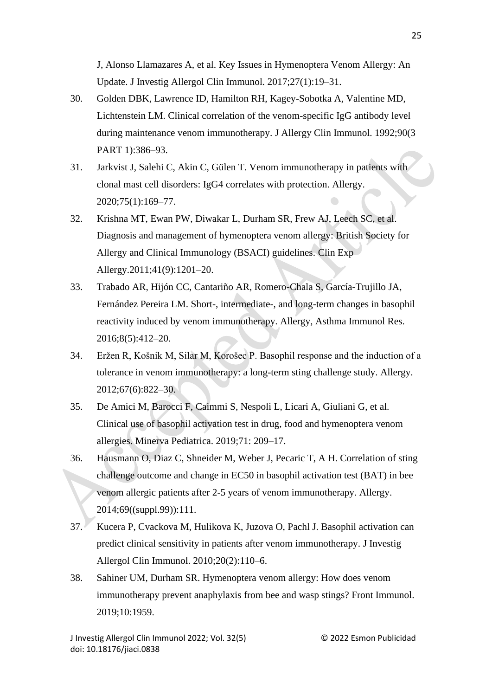J, Alonso Llamazares A, et al. Key Issues in Hymenoptera Venom Allergy: An Update. J Investig Allergol Clin Immunol. 2017;27(1):19–31.

- 30. Golden DBK, Lawrence ID, Hamilton RH, Kagey-Sobotka A, Valentine MD, Lichtenstein LM. Clinical correlation of the venom-specific IgG antibody level during maintenance venom immunotherapy. J Allergy Clin Immunol. 1992;90(3 PART 1):386–93.
- 31. Jarkvist J, Salehi C, Akin C, Gülen T. Venom immunotherapy in patients with clonal mast cell disorders: IgG4 correlates with protection. Allergy. 2020;75(1):169–77.
- 32. Krishna MT, Ewan PW, Diwakar L, Durham SR, Frew AJ, Leech SC, et al. Diagnosis and management of hymenoptera venom allergy: British Society for Allergy and Clinical Immunology (BSACI) guidelines. Clin Exp Allergy.2011;41(9):1201–20.
- 33. Trabado AR, Hijón CC, Cantariño AR, Romero-Chala S, García-Trujillo JA, Fernández Pereira LM. Short-, intermediate-, and long-term changes in basophil reactivity induced by venom immunotherapy. Allergy, Asthma Immunol Res. 2016;8(5):412–20.
- 34. Eržen R, Košnik M, Silar M, Korošec P. Basophil response and the induction of a tolerance in venom immunotherapy: a long-term sting challenge study. Allergy. 2012;67(6):822–30.
- 35. De Amici M, Barocci F, Caimmi S, Nespoli L, Licari A, Giuliani G, et al. Clinical use of basophil activation test in drug, food and hymenoptera venom allergies. Minerva Pediatrica. 2019;71: 209–17.
- 36. Hausmann O, Diaz C, Shneider M, Weber J, Pecaric T, A H. Correlation of sting challenge outcome and change in EC50 in basophil activation test (BAT) in bee venom allergic patients after 2-5 years of venom immunotherapy. Allergy. 2014;69((suppl.99)):111.
- 37. Kucera P, Cvackova M, Hulikova K, Juzova O, Pachl J. Basophil activation can predict clinical sensitivity in patients after venom immunotherapy. J Investig Allergol Clin Immunol. 2010;20(2):110–6.
- 38. Sahiner UM, Durham SR. Hymenoptera venom allergy: How does venom immunotherapy prevent anaphylaxis from bee and wasp stings? Front Immunol. 2019;10:1959.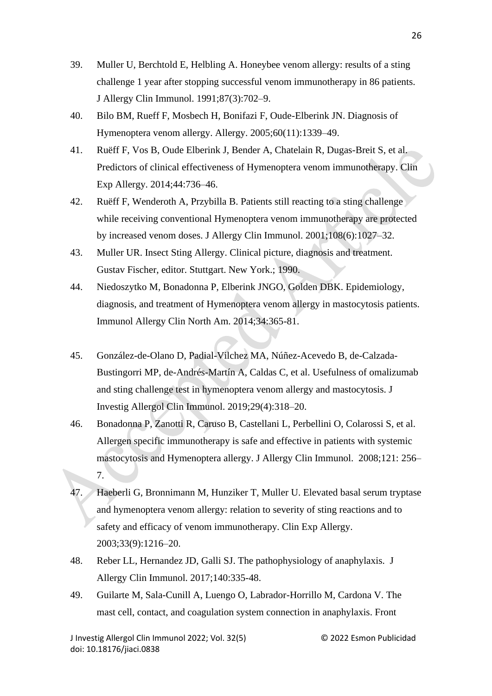- 39. Muller U, Berchtold E, Helbling A. Honeybee venom allergy: results of a sting challenge 1 year after stopping successful venom immunotherapy in 86 patients. J Allergy Clin Immunol. 1991;87(3):702–9.
- 40. Bilo BM, Rueff F, Mosbech H, Bonifazi F, Oude-Elberink JN. Diagnosis of Hymenoptera venom allergy. Allergy. 2005;60(11):1339–49.
- 41. Ruëff F, Vos B, Oude Elberink J, Bender A, Chatelain R, Dugas-Breit S, et al. Predictors of clinical effectiveness of Hymenoptera venom immunotherapy. Clin Exp Allergy. 2014;44:736–46.
- 42. Ruëff F, Wenderoth A, Przybilla B. Patients still reacting to a sting challenge while receiving conventional Hymenoptera venom immunotherapy are protected by increased venom doses. J Allergy Clin Immunol. 2001;108(6):1027–32.
- 43. Muller UR. Insect Sting Allergy. Clinical picture, diagnosis and treatment. Gustav Fischer, editor. Stuttgart. New York.; 1990.
- 44. Niedoszytko M, Bonadonna P, Elberink JNGO, Golden DBK. Epidemiology, diagnosis, and treatment of Hymenoptera venom allergy in mastocytosis patients. Immunol Allergy Clin North Am. 2014;34:365-81.
- 45. González-de-Olano D, Padial-Vilchez MA, Núñez-Acevedo B, de-Calzada-Bustingorri MP, de-Andrés-Martín A, Caldas C, et al. Usefulness of omalizumab and sting challenge test in hymenoptera venom allergy and mastocytosis. J Investig Allergol Clin Immunol. 2019;29(4):318–20.
- 46. Bonadonna P, Zanotti R, Caruso B, Castellani L, Perbellini O, Colarossi S, et al. Allergen specific immunotherapy is safe and effective in patients with systemic mastocytosis and Hymenoptera allergy. J Allergy Clin Immunol. 2008;121: 256– 7.
- 47. Haeberli G, Bronnimann M, Hunziker T, Muller U. Elevated basal serum tryptase and hymenoptera venom allergy: relation to severity of sting reactions and to safety and efficacy of venom immunotherapy. Clin Exp Allergy. 2003;33(9):1216–20.
- 48. Reber LL, Hernandez JD, Galli SJ. The pathophysiology of anaphylaxis. J Allergy Clin Immunol. 2017;140:335-48.
- 49. Guilarte M, Sala-Cunill A, Luengo O, Labrador-Horrillo M, Cardona V. The mast cell, contact, and coagulation system connection in anaphylaxis. Front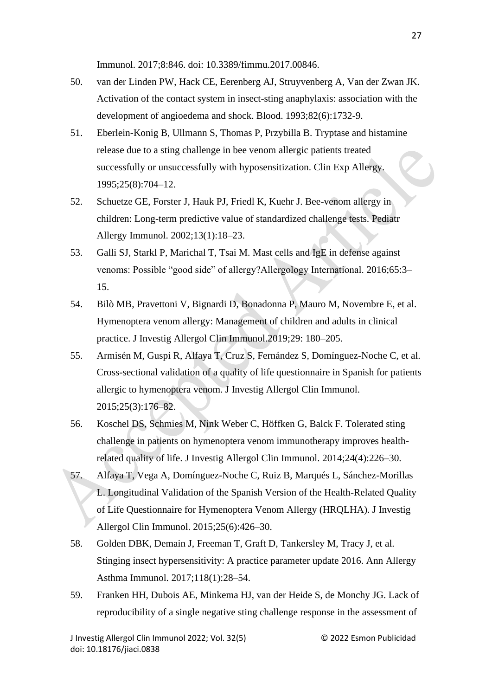Immunol. 2017;8:846. doi: 10.3389/fimmu.2017.00846.

- 50. van der Linden PW, Hack CE, Eerenberg AJ, Struyvenberg A, Van der Zwan JK. Activation of the contact system in insect-sting anaphylaxis: association with the development of angioedema and shock. Blood. 1993;82(6):1732-9.
- 51. Eberlein-Konig B, Ullmann S, Thomas P, Przybilla B. Tryptase and histamine release due to a sting challenge in bee venom allergic patients treated successfully or unsuccessfully with hyposensitization. Clin Exp Allergy. 1995;25(8):704–12.
- 52. Schuetze GE, Forster J, Hauk PJ, Friedl K, Kuehr J. Bee-venom allergy in children: Long-term predictive value of standardized challenge tests. Pediatr Allergy Immunol. 2002;13(1):18–23.
- 53. Galli SJ, Starkl P, Marichal T, Tsai M. Mast cells and IgE in defense against venoms: Possible "good side" of allergy?Allergology International. 2016;65:3– 15.
- 54. Bilò MB, Pravettoni V, Bignardi D, Bonadonna P, Mauro M, Novembre E, et al. Hymenoptera venom allergy: Management of children and adults in clinical practice. J Investig Allergol Clin Immunol.2019;29: 180–205.
- 55. Armisén M, Guspi R, Alfaya T, Cruz S, Fernández S, Domínguez-Noche C, et al. Cross-sectional validation of a quality of life questionnaire in Spanish for patients allergic to hymenoptera venom. J Investig Allergol Clin Immunol. 2015;25(3):176–82.
- 56. Koschel DS, Schmies M, Nink Weber C, Höffken G, Balck F. Tolerated sting challenge in patients on hymenoptera venom immunotherapy improves healthrelated quality of life. J Investig Allergol Clin Immunol. 2014;24(4):226–30.
- 57. Alfaya T, Vega A, Domínguez-Noche C, Ruiz B, Marqués L, Sánchez-Morillas L. Longitudinal Validation of the Spanish Version of the Health-Related Quality of Life Questionnaire for Hymenoptera Venom Allergy (HRQLHA). J Investig Allergol Clin Immunol. 2015;25(6):426–30.
- 58. Golden DBK, Demain J, Freeman T, Graft D, Tankersley M, Tracy J, et al. Stinging insect hypersensitivity: A practice parameter update 2016. Ann Allergy Asthma Immunol. 2017;118(1):28–54.
- 59. Franken HH, Dubois AE, Minkema HJ, van der Heide S, de Monchy JG. Lack of reproducibility of a single negative sting challenge response in the assessment of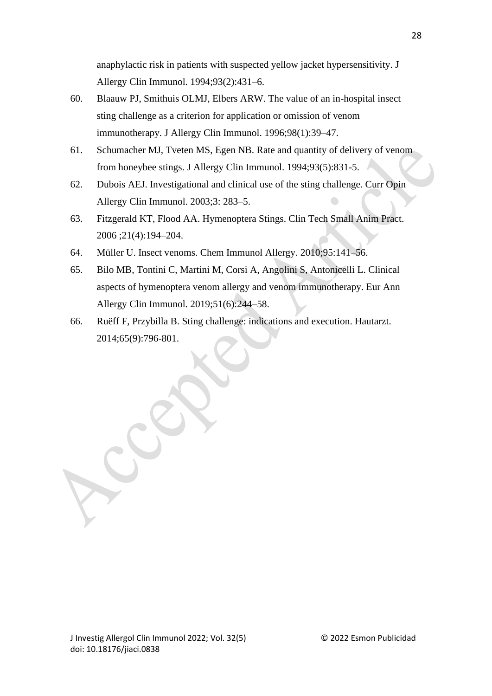anaphylactic risk in patients with suspected yellow jacket hypersensitivity. J Allergy Clin Immunol. 1994;93(2):431–6.

- 60. Blaauw PJ, Smithuis OLMJ, Elbers ARW. The value of an in-hospital insect sting challenge as a criterion for application or omission of venom immunotherapy. J Allergy Clin Immunol. 1996;98(1):39–47.
- 61. Schumacher MJ, Tveten MS, Egen NB. Rate and quantity of delivery of venom from honeybee stings. J Allergy Clin Immunol. 1994;93(5):831-5.
- 62. Dubois AEJ. Investigational and clinical use of the sting challenge. Curr Opin Allergy Clin Immunol. 2003;3: 283–5.
- 63. Fitzgerald KT, Flood AA. Hymenoptera Stings. Clin Tech Small Anim Pract. 2006 ;21(4):194–204.
- 64. Müller U. Insect venoms. Chem Immunol Allergy. 2010;95:141–56.
- 65. Bilo MB, Tontini C, Martini M, Corsi A, Angolini S, Antonicelli L. Clinical aspects of hymenoptera venom allergy and venom immunotherapy. Eur Ann Allergy Clin Immunol. 2019;51(6):244–58.
- 66. Ruëff F, Przybilla B. Sting challenge: indications and execution. Hautarzt. 2014;65(9):796-801.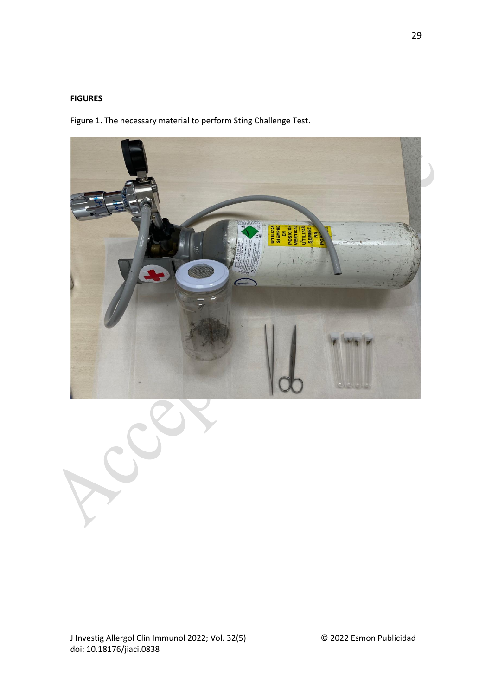#### **FIGURES**

Figure 1. The necessary material to perform Sting Challenge Test.



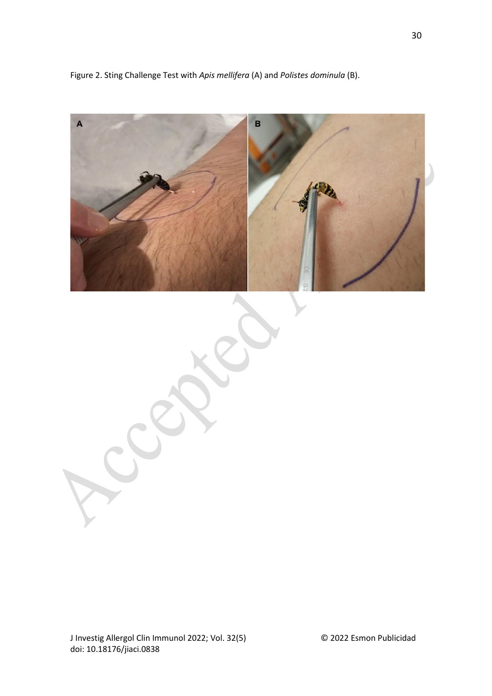Figure 2. Sting Challenge Test with *Apis mellifera* (A) and *Polistes dominula* (B).



J Investig Allergol Clin Immunol 2022; Vol. 32(5) © 2022 Esmon Publicidad doi: 10.18176/jiaci.0838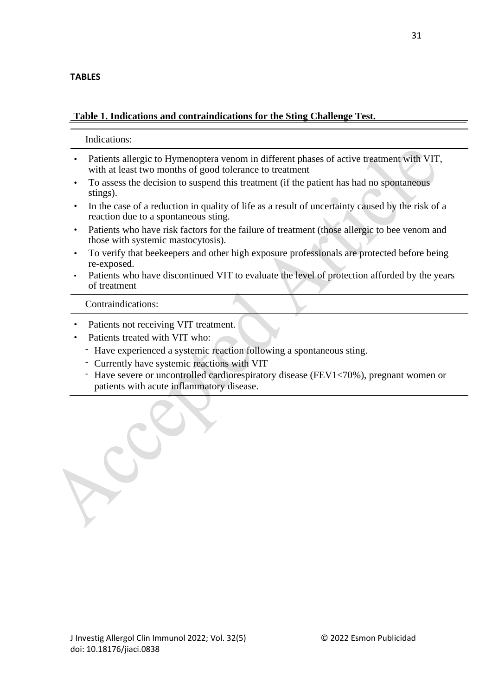# **TABLES**

# **Table 1. Indications and contraindications for the Sting Challenge Test.**

Indications:

- Patients allergic to Hymenoptera venom in different phases of active treatment with VIT, with at least two months of good tolerance to treatment
- To assess the decision to suspend this treatment (if the patient has had no spontaneous stings).
- In the case of a reduction in quality of life as a result of uncertainty caused by the risk of a reaction due to a spontaneous sting.
- Patients who have risk factors for the failure of treatment (those allergic to bee venom and those with systemic mastocytosis).
- To verify that beekeepers and other high exposure professionals are protected before being re-exposed.
- Patients who have discontinued VIT to evaluate the level of protection afforded by the years of treatment

Contraindications:

- Patients not receiving VIT treatment.
- Patients treated with VIT who:
	- Have experienced a systemic reaction following a spontaneous sting.
	- Currently have systemic reactions with VIT
	- Have severe or uncontrolled cardiorespiratory disease (FEV1<70%), pregnant women or patients with acute inflammatory disease.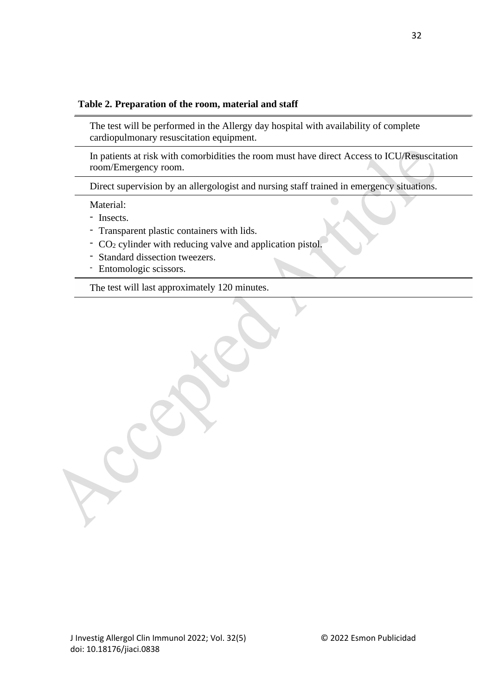## **Table 2. Preparation of the room, material and staff**

The test will be performed in the Allergy day hospital with availability of complete cardiopulmonary resuscitation equipment.

In patients at risk with comorbidities the room must have direct Access to ICU/Resuscitation room/Emergency room.

Direct supervision by an allergologist and nursing staff trained in emergency situations.

Material:

- Insects.

- Transparent plastic containers with lids.
- CO<sup>2</sup> cylinder with reducing valve and application pistol.
- Standard dissection tweezers.
- Entomologic scissors.

The test will last approximately 120 minutes.